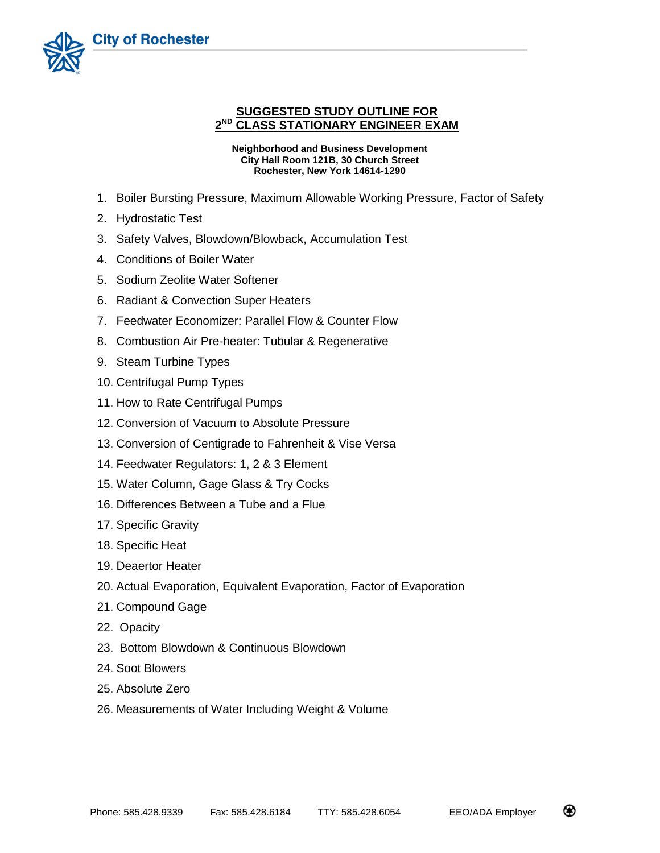

## **SUGGESTED STUDY OUTLINE FOR 2 ND CLASS STATIONARY ENGINEER EXAM**

**Neighborhood and Business Development City Hall Room 121B, 30 Church Street Rochester, New York 14614-1290**

- 1. Boiler Bursting Pressure, Maximum Allowable Working Pressure, Factor of Safety
- 2. Hydrostatic Test
- 3. Safety Valves, Blowdown/Blowback, Accumulation Test
- 4. Conditions of Boiler Water
- 5. Sodium Zeolite Water Softener
- 6. Radiant & Convection Super Heaters
- 7. Feedwater Economizer: Parallel Flow & Counter Flow
- 8. Combustion Air Pre-heater: Tubular & Regenerative
- 9. Steam Turbine Types
- 10. Centrifugal Pump Types
- 11. How to Rate Centrifugal Pumps
- 12. Conversion of Vacuum to Absolute Pressure
- 13. Conversion of Centigrade to Fahrenheit & Vise Versa
- 14. Feedwater Regulators: 1, 2 & 3 Element
- 15. Water Column, Gage Glass & Try Cocks
- 16. Differences Between a Tube and a Flue
- 17. Specific Gravity
- 18. Specific Heat
- 19. Deaertor Heater
- 20. Actual Evaporation, Equivalent Evaporation, Factor of Evaporation
- 21. Compound Gage
- 22. Opacity
- 23. Bottom Blowdown & Continuous Blowdown
- 24. Soot Blowers
- 25. Absolute Zero
- 26. Measurements of Water Including Weight & Volume